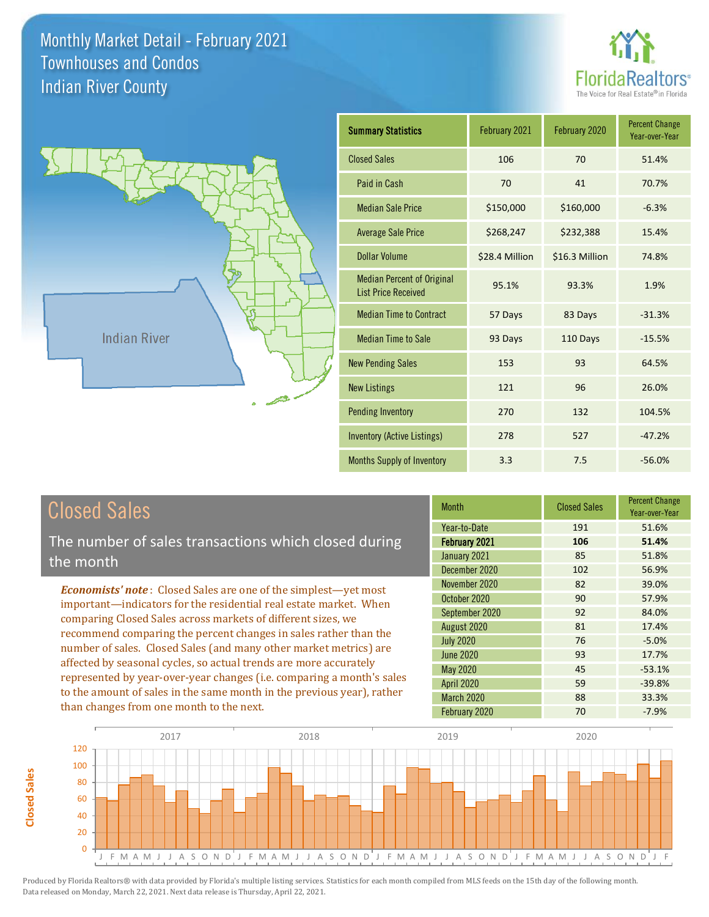



| <b>Summary Statistics</b>                                       | February 2021  | February 2020  | <b>Percent Change</b><br>Year-over-Year |
|-----------------------------------------------------------------|----------------|----------------|-----------------------------------------|
| <b>Closed Sales</b>                                             | 106            | 70             | 51.4%                                   |
| Paid in Cash                                                    | 70             | 41             | 70.7%                                   |
| <b>Median Sale Price</b>                                        | \$150,000      | \$160,000      | $-6.3%$                                 |
| <b>Average Sale Price</b>                                       | \$268,247      | \$232,388      | 15.4%                                   |
| Dollar Volume                                                   | \$28.4 Million | \$16.3 Million | 74.8%                                   |
| <b>Median Percent of Original</b><br><b>List Price Received</b> | 95.1%          | 93.3%          | 1.9%                                    |
| <b>Median Time to Contract</b>                                  | 57 Days        | 83 Days        | $-31.3%$                                |
| <b>Median Time to Sale</b>                                      | 93 Days        | 110 Days       | $-15.5%$                                |
| <b>New Pending Sales</b>                                        | 153            | 93             | 64.5%                                   |
| <b>New Listings</b>                                             | 121            | 96             | 26.0%                                   |
| <b>Pending Inventory</b>                                        | 270            | 132            | 104.5%                                  |
| <b>Inventory (Active Listings)</b>                              | 278            | 527            | $-47.2%$                                |
| Months Supply of Inventory                                      | 3.3            | 7.5            | $-56.0%$                                |

**Closed Sales**

**Closed Sales** 

The number of sales transactions which closed during the month

*Economists' note* : Closed Sales are one of the simplest—yet most important—indicators for the residential real estate market. When comparing Closed Sales across markets of different sizes, we recommend comparing the percent changes in sales rather than the number of sales. Closed Sales (and many other market metrics) are affected by seasonal cycles, so actual trends are more accurately represented by year-over-year changes (i.e. comparing a month's sales to the amount of sales in the same month in the previous year), rather than changes from one month to the next.

| <b>Month</b>      | <b>Closed Sales</b> | <b>Percent Change</b><br>Year-over-Year |
|-------------------|---------------------|-----------------------------------------|
| Year-to-Date      | 191                 | 51.6%                                   |
| February 2021     | 106                 | 51.4%                                   |
| January 2021      | 85                  | 51.8%                                   |
| December 2020     | 102                 | 56.9%                                   |
| November 2020     | 82                  | 39.0%                                   |
| October 2020      | 90                  | 57.9%                                   |
| September 2020    | 92                  | 84.0%                                   |
| August 2020       | 81                  | 17.4%                                   |
| <b>July 2020</b>  | 76                  | $-5.0%$                                 |
| June 2020         | 93                  | 17.7%                                   |
| May 2020          | 45                  | $-53.1%$                                |
| <b>April 2020</b> | 59                  | $-39.8%$                                |
| <b>March 2020</b> | 88                  | 33.3%                                   |
| February 2020     | 70                  | $-7.9%$                                 |

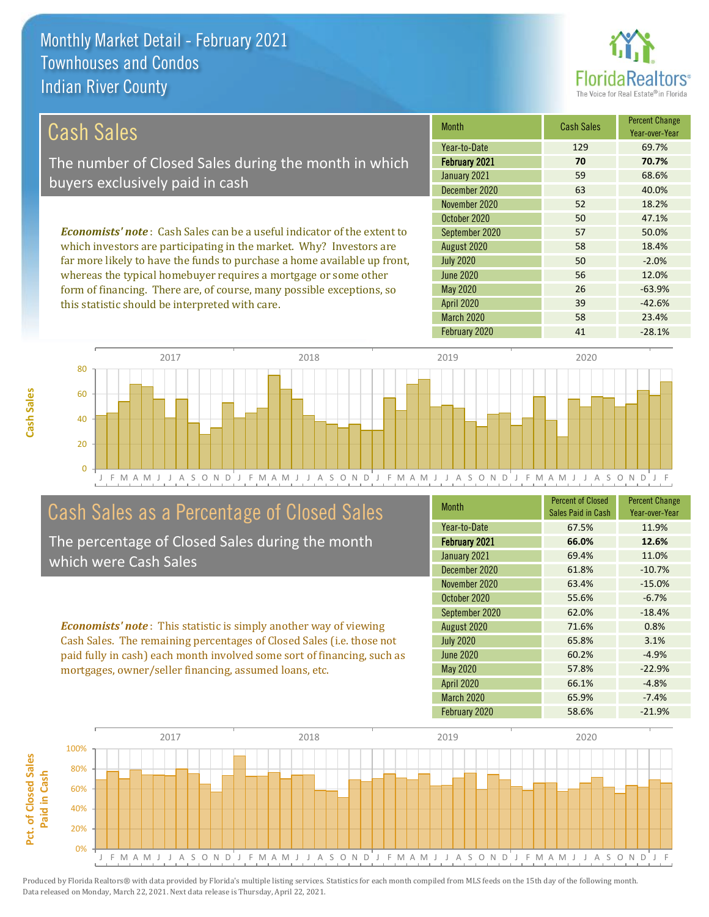this statistic should be interpreted with care.



39 -42.6%

| Cash Sales                                                                     | <b>Month</b>     | <b>Cash Sales</b> | <b>Percent Change</b><br>Year-over-Year |
|--------------------------------------------------------------------------------|------------------|-------------------|-----------------------------------------|
|                                                                                | Year-to-Date     | 129               | 69.7%                                   |
| The number of Closed Sales during the month in which                           | February 2021    | 70                | 70.7%                                   |
| buyers exclusively paid in cash                                                | January 2021     | 59                | 68.6%                                   |
|                                                                                | December 2020    | 63                | 40.0%                                   |
|                                                                                | November 2020    | 52                | 18.2%                                   |
|                                                                                | October 2020     | 50                | 47.1%                                   |
| <b>Economists' note:</b> Cash Sales can be a useful indicator of the extent to | September 2020   | 57                | 50.0%                                   |
| which investors are participating in the market. Why? Investors are            | August 2020      | 58                | 18.4%                                   |
| far more likely to have the funds to purchase a home available up front,       | <b>July 2020</b> | 50                | $-2.0%$                                 |
| whereas the typical homebuyer requires a mortgage or some other                | <b>June 2020</b> | 56                | 12.0%                                   |
| form of financing. There are, of course, many possible exceptions, so          | May 2020         | 26                | $-63.9%$                                |



## Cash Sales as a Percentage of Closed Sales

The percentage of Closed Sales during the month which were Cash Sales

*Economists' note* : This statistic is simply another way of viewing Cash Sales. The remaining percentages of Closed Sales (i.e. those not paid fully in cash) each month involved some sort of financing, such as mortgages, owner/seller financing, assumed loans, etc.

| <b>Month</b>         | <b>Percent of Closed</b><br>Sales Paid in Cash | <b>Percent Change</b><br>Year-over-Year |
|----------------------|------------------------------------------------|-----------------------------------------|
| Year-to-Date         | 67.5%                                          | 11.9%                                   |
| <b>February 2021</b> | 66.0%                                          | 12.6%                                   |
| January 2021         | 69.4%                                          | 11.0%                                   |
| December 2020        | 61.8%                                          | $-10.7%$                                |
| November 2020        | 63.4%                                          | $-15.0%$                                |
| October 2020         | 55.6%                                          | $-6.7%$                                 |
| September 2020       | 62.0%                                          | $-18.4%$                                |
| August 2020          | 71.6%                                          | 0.8%                                    |
| <b>July 2020</b>     | 65.8%                                          | 3.1%                                    |
| <b>June 2020</b>     | 60.2%                                          | $-4.9%$                                 |
| May 2020             | 57.8%                                          | $-22.9%$                                |
| <b>April 2020</b>    | 66.1%                                          | $-4.8%$                                 |
| <b>March 2020</b>    | 65.9%                                          | $-7.4%$                                 |
| February 2020        | 58.6%                                          | $-21.9%$                                |

February 2020 **41** -28.1%

March 2020 58 23.4%

April 2020

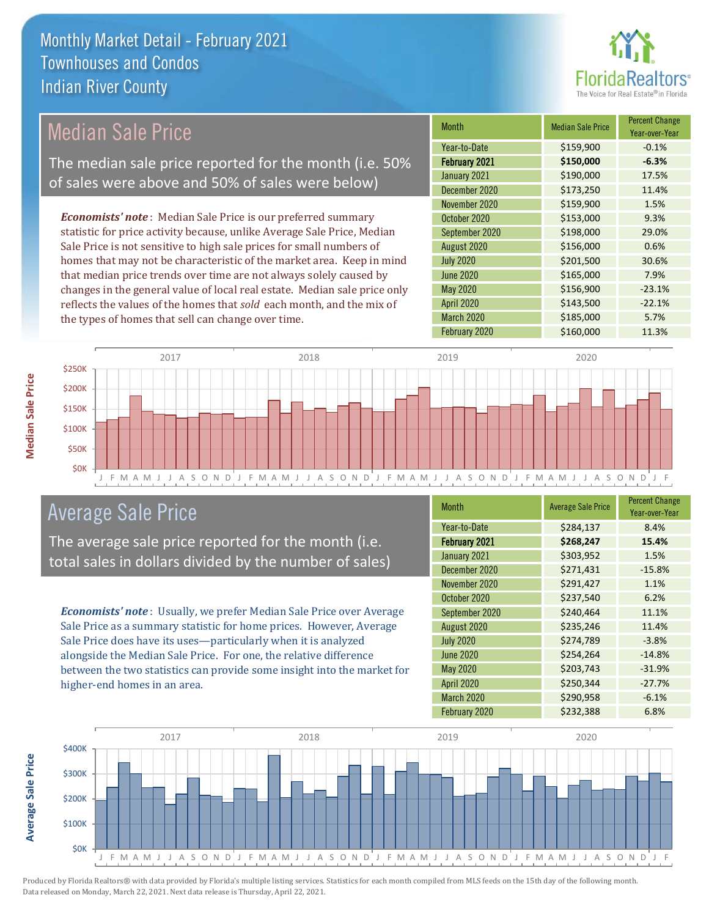

## Median Sale Price

The median sale price reported for the month (i.e. 50% of sales were above and 50% of sales were below)

*Economists' note* : Median Sale Price is our preferred summary statistic for price activity because, unlike Average Sale Price, Median Sale Price is not sensitive to high sale prices for small numbers of homes that may not be characteristic of the market area. Keep in mind that median price trends over time are not always solely caused by changes in the general value of local real estate. Median sale price only reflects the values of the homes that *sold* each month, and the mix of the types of homes that sell can change over time.

| Month            | <b>Median Sale Price</b> | <b>Percent Change</b><br>Year-over-Year |
|------------------|--------------------------|-----------------------------------------|
| Year-to-Date     | \$159,900                | $-0.1%$                                 |
| February 2021    | \$150,000                | $-6.3%$                                 |
| January 2021     | \$190,000                | 17.5%                                   |
| December 2020    | \$173,250                | 11.4%                                   |
| November 2020    | \$159,900                | 1.5%                                    |
| October 2020     | \$153,000                | 9.3%                                    |
| September 2020   | \$198,000                | 29.0%                                   |
| August 2020      | \$156,000                | 0.6%                                    |
| <b>July 2020</b> | \$201,500                | 30.6%                                   |
| <b>June 2020</b> | \$165,000                | 7.9%                                    |
| May 2020         | \$156,900                | $-23.1%$                                |
| April 2020       | \$143,500                | $-22.1%$                                |
| March 2020       | \$185,000                | 5.7%                                    |
| February 2020    | \$160,000                | 11.3%                                   |



## Average Sale Price

The average sale price reported for the month (i.e. total sales in dollars divided by the number of sales)

*Economists' note* : Usually, we prefer Median Sale Price over Average Sale Price as a summary statistic for home prices. However, Average Sale Price does have its uses—particularly when it is analyzed alongside the Median Sale Price. For one, the relative difference between the two statistics can provide some insight into the market for higher-end homes in an area.

| <b>Month</b>      | <b>Average Sale Price</b> | <b>Percent Change</b><br>Year-over-Year |
|-------------------|---------------------------|-----------------------------------------|
| Year-to-Date      | \$284,137                 | 8.4%                                    |
| February 2021     | \$268,247                 | 15.4%                                   |
| January 2021      | \$303,952                 | 1.5%                                    |
| December 2020     | \$271,431                 | $-15.8%$                                |
| November 2020     | \$291,427                 | 1.1%                                    |
| October 2020      | \$237,540                 | 6.2%                                    |
| September 2020    | \$240,464                 | 11.1%                                   |
| August 2020       | \$235,246                 | 11.4%                                   |
| <b>July 2020</b>  | \$274,789                 | $-3.8%$                                 |
| <b>June 2020</b>  | \$254,264                 | $-14.8%$                                |
| May 2020          | \$203,743                 | $-31.9%$                                |
| <b>April 2020</b> | \$250,344                 | $-27.7%$                                |
| March 2020        | \$290,958                 | $-6.1%$                                 |
| February 2020     | \$232,388                 | 6.8%                                    |

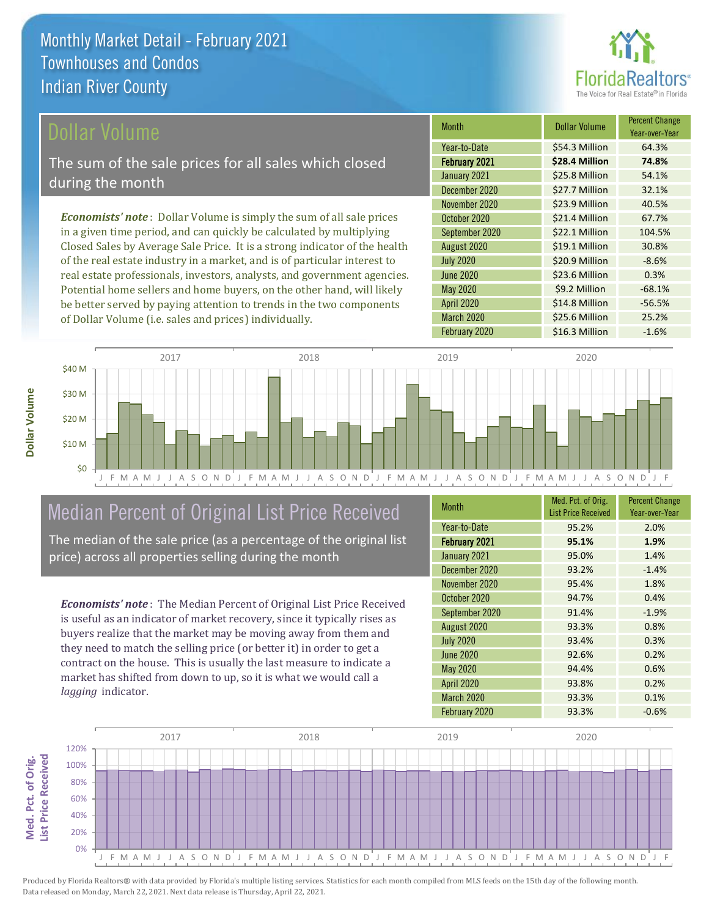

Year-over-Year

-8.6%

\$9.2 Million -68.1%

\$14.8 Million -56.5%

Month **Dollar Volume** Percent Change

February 2021 **\$28.4 Million 74.8%** Year-to-Date \$54.3 Million 64.3%

January 2021 **\$25.8 Million 54.1%** December 2020 \$27.7 Million 32.1%

November 2020 **\$23.9 Million** 40.5% October 2020 \$21.4 Million 67.7% September 2020 \$22.1 Million 104.5% August 2020 <br>  $\begin{array}{|c|c|c|c|}\n\hline\n\text{$519.1 Million} & \text{30.8\%} \\
\hline\n\end{array}$ 

June 2020 **\$23.6 Million 0.3%** 

March 2020 \$25.6 Million 25.2%

July 2020 **\$20.9 Million** 

April 2020

May 2020

The sum of the sale prices for all sales which closed during the month

*Economists' note* : Dollar Volume is simply the sum of all sale prices in a given time period, and can quickly be calculated by multiplying Closed Sales by Average Sale Price. It is a strong indicator of the health of the real estate industry in a market, and is of particular interest to real estate professionals, investors, analysts, and government agencies. Potential home sellers and home buyers, on the other hand, will likely be better served by paying attention to trends in the two components of Dollar Volume (i.e. sales and prices) individually.



## Median Percent of Original List Price Received

The median of the sale price (as a percentage of the original list price) across all properties selling during the month

*Economists' note* : The Median Percent of Original List Price Received is useful as an indicator of market recovery, since it typically rises as buyers realize that the market may be moving away from them and they need to match the selling price (or better it) in order to get a contract on the house. This is usually the last measure to indicate a market has shifted from down to up, so it is what we would call a *lagging* indicator.

| <b>Month</b>         | Med. Pct. of Orig.<br><b>List Price Received</b> | <b>Percent Change</b><br>Year-over-Year |
|----------------------|--------------------------------------------------|-----------------------------------------|
| Year-to-Date         | 95.2%                                            | 2.0%                                    |
| <b>February 2021</b> | 95.1%                                            | 1.9%                                    |
| January 2021         | 95.0%                                            | 1.4%                                    |
| December 2020        | 93.2%                                            | $-1.4%$                                 |
| November 2020        | 95.4%                                            | 1.8%                                    |
| October 2020         | 94.7%                                            | 0.4%                                    |
| September 2020       | 91.4%                                            | $-1.9%$                                 |
| August 2020          | 93.3%                                            | 0.8%                                    |
| <b>July 2020</b>     | 93.4%                                            | 0.3%                                    |
| <b>June 2020</b>     | 92.6%                                            | 0.2%                                    |
| May 2020             | 94.4%                                            | 0.6%                                    |
| <b>April 2020</b>    | 93.8%                                            | 0.2%                                    |
| <b>March 2020</b>    | 93.3%                                            | 0.1%                                    |
| February 2020        | 93.3%                                            | $-0.6%$                                 |

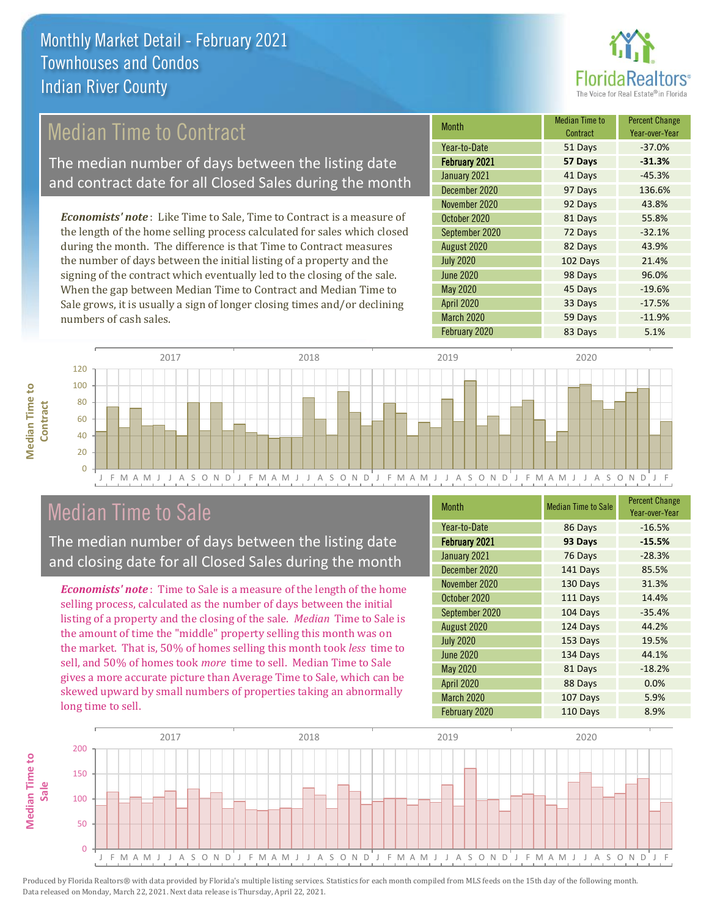

## Median Time to Contract

The median number of days between the listing date and contract date for all Closed Sales during the month

*Economists' note* : Like Time to Sale, Time to Contract is a measure of the length of the home selling process calculated for sales which closed during the month. The difference is that Time to Contract measures the number of days between the initial listing of a property and the signing of the contract which eventually led to the closing of the sale. When the gap between Median Time to Contract and Median Time to Sale grows, it is usually a sign of longer closing times and/or declining numbers of cash sales.

| Month            | Median Time to<br>Contract | <b>Percent Change</b><br>Year-over-Year |
|------------------|----------------------------|-----------------------------------------|
| Year-to-Date     | 51 Days                    | $-37.0%$                                |
| February 2021    | 57 Days                    | $-31.3%$                                |
| January 2021     | 41 Days                    | $-45.3%$                                |
| December 2020    | 97 Days                    | 136.6%                                  |
| November 2020    | 92 Days                    | 43.8%                                   |
| October 2020     | 81 Days                    | 55.8%                                   |
| September 2020   | 72 Days                    | $-32.1%$                                |
| August 2020      | 82 Days                    | 43.9%                                   |
| <b>July 2020</b> | 102 Days                   | 21.4%                                   |
| <b>June 2020</b> | 98 Days                    | 96.0%                                   |
| May 2020         | 45 Days                    | $-19.6%$                                |
| April 2020       | 33 Days                    | $-17.5%$                                |
| March 2020       | 59 Days                    | $-11.9%$                                |
| February 2020    | 83 Days                    | 5.1%                                    |



## Median Time to Sale

**Median Time to** 

**Median Time to** 

The median number of days between the listing date and closing date for all Closed Sales during the month

*Economists' note* : Time to Sale is a measure of the length of the home selling process, calculated as the number of days between the initial listing of a property and the closing of the sale. *Median* Time to Sale is the amount of time the "middle" property selling this month was on the market. That is, 50% of homes selling this month took *less* time to sell, and 50% of homes took *more* time to sell. Median Time to Sale gives a more accurate picture than Average Time to Sale, which can be skewed upward by small numbers of properties taking an abnormally long time to sell.

| <b>Month</b>         | <b>Median Time to Sale</b> | <b>Percent Change</b><br>Year-over-Year |
|----------------------|----------------------------|-----------------------------------------|
| Year-to-Date         | 86 Days                    | $-16.5%$                                |
| <b>February 2021</b> | 93 Days                    | $-15.5%$                                |
| January 2021         | 76 Days                    | $-28.3%$                                |
| December 2020        | 141 Days                   | 85.5%                                   |
| November 2020        | 130 Days                   | 31.3%                                   |
| October 2020         | 111 Days                   | 14.4%                                   |
| September 2020       | 104 Days                   | $-35.4%$                                |
| August 2020          | 124 Days                   | 44.2%                                   |
| <b>July 2020</b>     | 153 Days                   | 19.5%                                   |
| <b>June 2020</b>     | 134 Days                   | 44.1%                                   |
| <b>May 2020</b>      | 81 Days                    | $-18.2%$                                |
| April 2020           | 88 Days                    | 0.0%                                    |
| March 2020           | 107 Days                   | 5.9%                                    |
| February 2020        | 110 Days                   | 8.9%                                    |

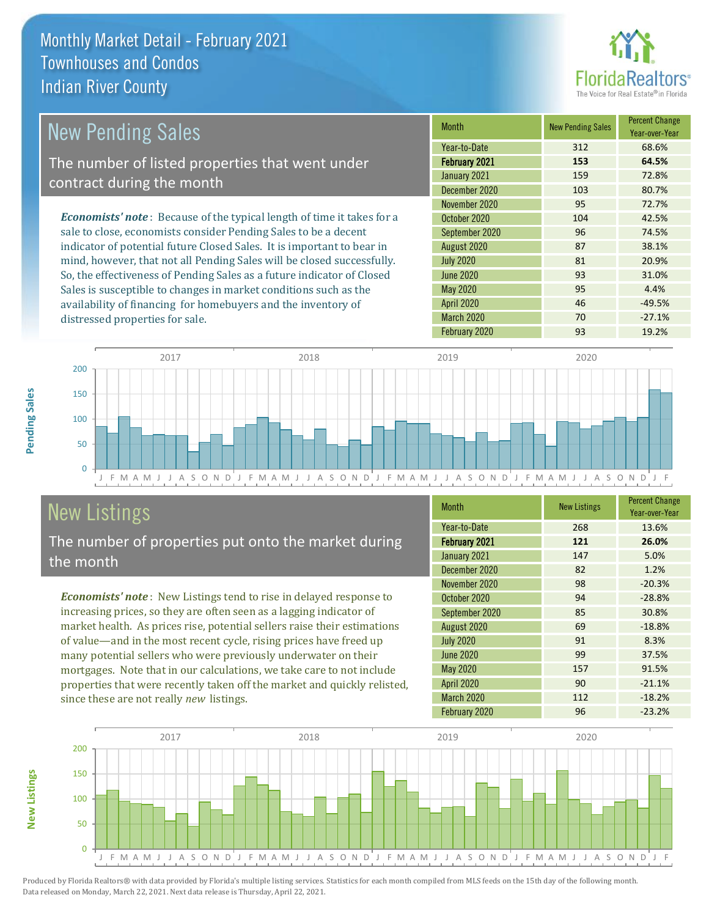

### *Economists' note* : Because of the typical length of time it takes for a sale to close, economists consider Pending Sales to be a decent indicator of potential future Closed Sales. It is important to bear in mind, however, that not all Pending Sales will be closed successfully. So, the effectiveness of Pending Sales as a future indicator of Closed Sales is susceptible to changes in market conditions such as the Month New Pending Sales Percent Change Year-over-Year February 2021 **153 64.5%** Year-to-Date 312 68.6% July 2020 81 20.9% January 2021 159 159 72.8% December 2020 103 103 80.7% September 2020 96 96 74.5% August 2020 87 38.1% November 2020 95 72.7% October 2020 104 104 42.5% June 2020 31.0% May 2020 **95** 4.4% New Pending Sales The number of listed properties that went under contract during the month



## **New Listings**

distressed properties for sale.

The number of properties put onto the market during the month

availability of financing for homebuyers and the inventory of

*Economists' note* : New Listings tend to rise in delayed response to increasing prices, so they are often seen as a lagging indicator of market health. As prices rise, potential sellers raise their estimations of value—and in the most recent cycle, rising prices have freed up many potential sellers who were previously underwater on their mortgages. Note that in our calculations, we take care to not include properties that were recently taken off the market and quickly relisted, since these are not really *new* listings.

| <b>Month</b>      | <b>New Listings</b> | <b>Percent Change</b><br>Year-over-Year |
|-------------------|---------------------|-----------------------------------------|
| Year-to-Date      | 268                 | 13.6%                                   |
| February 2021     | 121                 | 26.0%                                   |
| January 2021      | 147                 | 5.0%                                    |
| December 2020     | 82                  | 1.2%                                    |
| November 2020     | 98                  | $-20.3%$                                |
| October 2020      | 94                  | $-28.8%$                                |
| September 2020    | 85                  | 30.8%                                   |
| August 2020       | 69                  | $-18.8%$                                |
| <b>July 2020</b>  | 91                  | 8.3%                                    |
| June 2020         | 99                  | 37.5%                                   |
| May 2020          | 157                 | 91.5%                                   |
| <b>April 2020</b> | 90                  | $-21.1%$                                |
| March 2020        | 112                 | $-18.2%$                                |
| February 2020     | 96                  | $-23.2%$                                |

April 2020 **46** -49.5% March 2020 70 -27.1%



Produced by Florida Realtors® with data provided by Florida's multiple listing services. Statistics for each month compiled from MLS feeds on the 15th day of the following month. Data released on Monday, March 22, 2021. Next data release is Thursday, April 22, 2021.

**New Listings**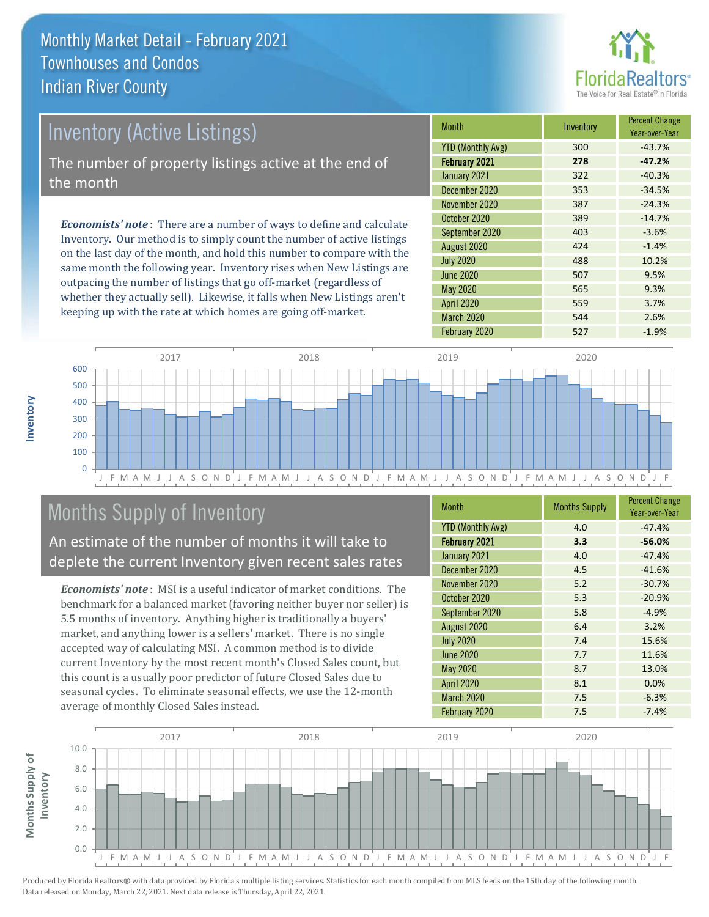

## Inventory (Active Listings) The number of property listings active at the end of the month

*Economists' note* : There are a number of ways to define and calculate Inventory. Our method is to simply count the number of active listings on the last day of the month, and hold this number to compare with the same month the following year. Inventory rises when New Listings are outpacing the number of listings that go off-market (regardless of whether they actually sell). Likewise, it falls when New Listings aren't keeping up with the rate at which homes are going off-market.

| <b>Month</b>             | Inventory | <b>Percent Change</b><br>Year-over-Year |
|--------------------------|-----------|-----------------------------------------|
| <b>YTD (Monthly Avg)</b> | 300       | $-43.7%$                                |
| February 2021            | 278       | $-47.2%$                                |
| January 2021             | 322       | $-40.3%$                                |
| December 2020            | 353       | $-34.5%$                                |
| November 2020            | 387       | $-24.3%$                                |
| October 2020             | 389       | $-14.7%$                                |
| September 2020           | 403       | $-3.6%$                                 |
| August 2020              | 424       | $-1.4%$                                 |
| <b>July 2020</b>         | 488       | 10.2%                                   |
| June 2020                | 507       | 9.5%                                    |
| May 2020                 | 565       | 9.3%                                    |
| <b>April 2020</b>        | 559       | 3.7%                                    |
| March 2020               | 544       | 2.6%                                    |
| February 2020            | 527       | $-1.9%$                                 |



## Months Supply of Inventory

An estimate of the number of months it will take to deplete the current Inventory given recent sales rates

*Economists' note* : MSI is a useful indicator of market conditions. The benchmark for a balanced market (favoring neither buyer nor seller) is 5.5 months of inventory. Anything higher is traditionally a buyers' market, and anything lower is a sellers' market. There is no single accepted way of calculating MSI. A common method is to divide current Inventory by the most recent month's Closed Sales count, but this count is a usually poor predictor of future Closed Sales due to seasonal cycles. To eliminate seasonal effects, we use the 12-month average of monthly Closed Sales instead.

| <b>Month</b>             | <b>Months Supply</b> | <b>Percent Change</b><br>Year-over-Year |
|--------------------------|----------------------|-----------------------------------------|
| <b>YTD (Monthly Avg)</b> | 4.0                  | $-47.4%$                                |
| <b>February 2021</b>     | 3.3                  | $-56.0%$                                |
| January 2021             | 4.0                  | $-47.4%$                                |
| December 2020            | 4.5                  | $-41.6%$                                |
| November 2020            | 5.2                  | $-30.7%$                                |
| October 2020             | 5.3                  | $-20.9%$                                |
| September 2020           | 5.8                  | $-4.9%$                                 |
| August 2020              | 6.4                  | 3.2%                                    |
| <b>July 2020</b>         | 7.4                  | 15.6%                                   |
| <b>June 2020</b>         | 7.7                  | 11.6%                                   |
| May 2020                 | 8.7                  | 13.0%                                   |
| April 2020               | 8.1                  | 0.0%                                    |
| March 2020               | 7.5                  | $-6.3%$                                 |
| February 2020            | 7.5                  | $-7.4%$                                 |

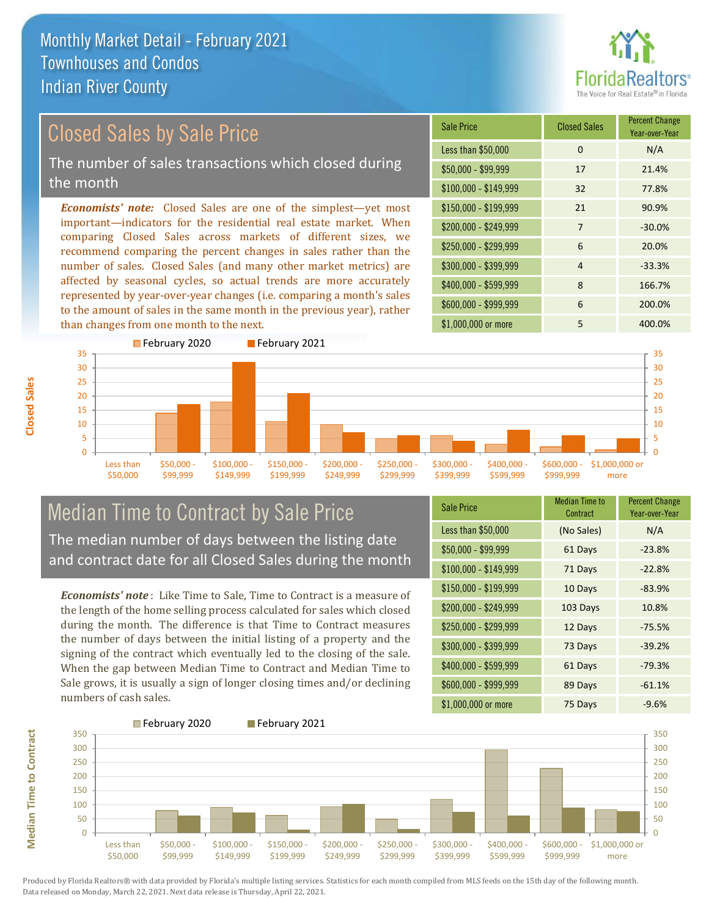

Year-over-Year

### *Economists' note:* Closed Sales are one of the simplest—yet most important—indicators for the residential real estate market. When comparing Closed Sales across markets of different sizes, we recommend comparing the percent changes in sales rather than the number of sales. Closed Sales (and many other market metrics) are \$150,000 - \$199,999 21 90.9% \$200,000 - \$249,999 7 -30.0% \$100,000 - \$149,999 32 77.8% Sale Price Closed Sales Percent Change Less than \$50,000 0 0 N/A \$50,000 - \$99,999 17 21.4% Closed Sales by Sale Price The number of sales transactions which closed during the month

affected by seasonal cycles, so actual trends are more accurately represented by year-over-year changes (i.e. comparing a month's sales to the amount of sales in the same month in the previous year), rather than changes from one month to the next.





### Median Time to Contract by Sale Price The median number of days between the listing date and contract date for all Closed Sales during the month

*Economists' note* : Like Time to Sale, Time to Contract is a measure of the length of the home selling process calculated for sales which closed during the month. The difference is that Time to Contract measures the number of days between the initial listing of a property and the signing of the contract which eventually led to the closing of the sale. When the gap between Median Time to Contract and Median Time to Sale grows, it is usually a sign of longer closing times and/or declining numbers of cash sales.

| <b>Sale Price</b>     | Median Time to<br>Contract | <b>Percent Change</b><br>Year-over-Year |
|-----------------------|----------------------------|-----------------------------------------|
| Less than \$50,000    | (No Sales)                 | N/A                                     |
| $$50,000 - $99,999$   | 61 Days                    | $-23.8%$                                |
| $$100,000 - $149,999$ | 71 Days                    | $-22.8%$                                |
| $$150,000 - $199,999$ | 10 Days                    | $-83.9%$                                |
| \$200,000 - \$249,999 | 103 Days                   | 10.8%                                   |
| \$250,000 - \$299,999 | 12 Days                    | $-75.5%$                                |
| \$300,000 - \$399,999 | 73 Days                    | $-39.2%$                                |
| \$400,000 - \$599,999 | 61 Days                    | $-79.3%$                                |
| \$600,000 - \$999,999 | 89 Days                    | $-61.1%$                                |
| \$1,000,000 or more   | 75 Days                    | $-9.6%$                                 |

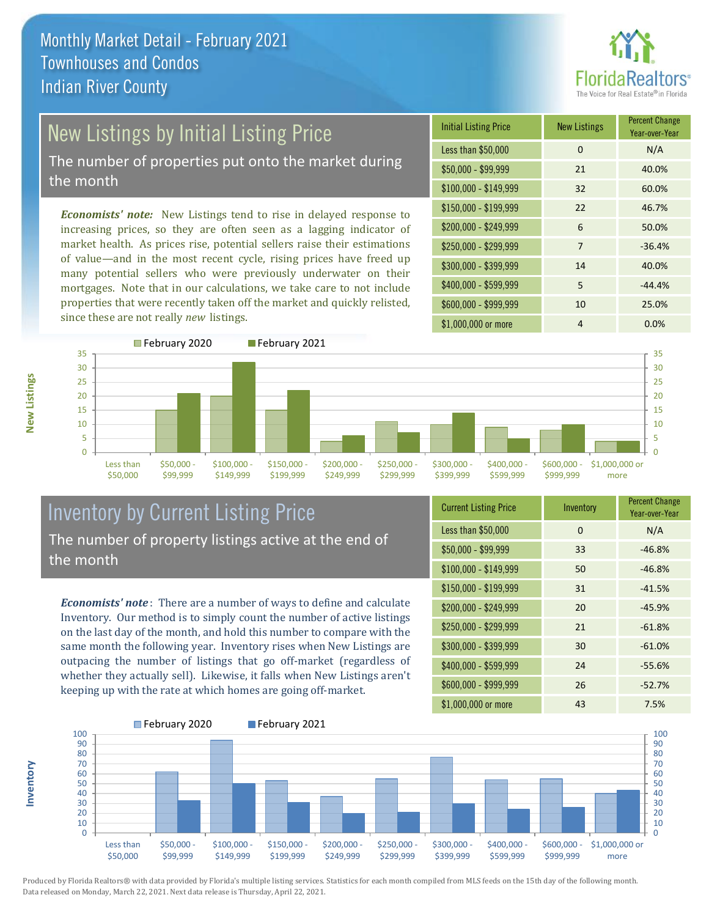

# New Listings by Initial Listing Price

The number of properties put onto the market during the month

*Economists' note:* New Listings tend to rise in delayed response to increasing prices, so they are often seen as a lagging indicator of market health. As prices rise, potential sellers raise their estimations of value—and in the most recent cycle, rising prices have freed up many potential sellers who were previously underwater on their mortgages. Note that in our calculations, we take care to not include properties that were recently taken off the market and quickly relisted, since these are not really *new* listings.

| <b>Initial Listing Price</b> | <b>New Listings</b> | <b>Percent Change</b><br>Year-over-Year |
|------------------------------|---------------------|-----------------------------------------|
| Less than \$50,000           | $\Omega$            | N/A                                     |
| $$50,000 - $99,999$          | 21                  | 40.0%                                   |
| $$100,000 - $149,999$        | 32                  | 60.0%                                   |
| $$150,000 - $199,999$        | 22                  | 46.7%                                   |
| \$200,000 - \$249,999        | 6                   | 50.0%                                   |
| \$250,000 - \$299,999        | 7                   | $-36.4%$                                |
| \$300,000 - \$399,999        | 14                  | 40.0%                                   |
| \$400,000 - \$599,999        | 5                   | $-44.4%$                                |
| \$600,000 - \$999,999        | 10                  | 25.0%                                   |
| \$1,000,000 or more          | 4                   | 0.0%                                    |



### Inventory by Current Listing Price The number of property listings active at the end of the month

*Economists' note* : There are a number of ways to define and calculate Inventory. Our method is to simply count the number of active listings on the last day of the month, and hold this number to compare with the same month the following year. Inventory rises when New Listings are outpacing the number of listings that go off-market (regardless of whether they actually sell). Likewise, it falls when New Listings aren't keeping up with the rate at which homes are going off-market.

| <b>Current Listing Price</b> | Inventory | <b>Percent Change</b><br>Year-over-Year |
|------------------------------|-----------|-----------------------------------------|
| Less than \$50,000           | $\Omega$  | N/A                                     |
| $$50,000 - $99,999$          | 33        | $-46.8%$                                |
| $$100,000 - $149,999$        | 50        | $-46.8%$                                |
| $$150,000 - $199,999$        | 31        | $-41.5%$                                |
| \$200,000 - \$249,999        | 20        | $-45.9%$                                |
| \$250,000 - \$299,999        | 21        | $-61.8%$                                |
| \$300,000 - \$399,999        | 30        | $-61.0%$                                |
| \$400,000 - \$599,999        | 24        | $-55.6%$                                |
| \$600,000 - \$999,999        | 26        | $-52.7%$                                |
| \$1,000,000 or more          | 43        | 7.5%                                    |



Produced by Florida Realtors® with data provided by Florida's multiple listing services. Statistics for each month compiled from MLS feeds on the 15th day of the following month. Data released on Monday, March 22, 2021. Next data release is Thursday, April 22, 2021.

**Inventory**